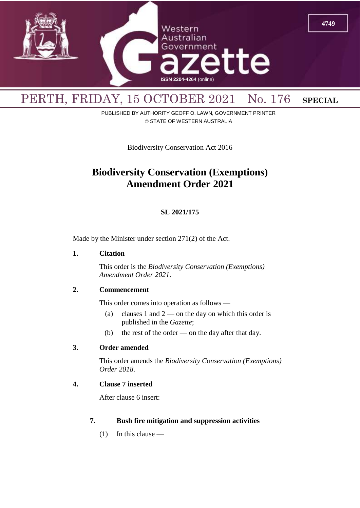

# PERTH, FRIDAY, 15 OCTOBER 2021 No. 176 SPECIAL

PUBLISHED BY AUTHORITY GEOFF O. LAWN, GOVERNMENT PRINTER © STATE OF WESTERN AUSTRALIA

Biodiversity Conservation Act 2016

# **Biodiversity Conservation (Exemptions) Amendment Order 2021**

## **SL 2021/175**

Made by the Minister under section 271(2) of the Act.

#### **1. Citation**

This order is the *Biodiversity Conservation (Exemptions) Amendment Order 2021*.

#### **2. Commencement**

This order comes into operation as follows —

- (a) clauses 1 and  $2$  on the day on which this order is published in the *Gazette*;
- (b) the rest of the order on the day after that day.

#### **3. Order amended**

This order amends the *Biodiversity Conservation (Exemptions) Order 2018*.

## **4. Clause 7 inserted**

After clause 6 insert:

#### **7. Bush fire mitigation and suppression activities**

(1) In this clause —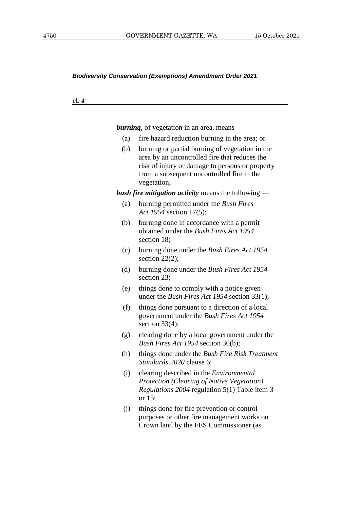#### *Biodiversity Conservation (Exemptions) Amendment Order 2021*

**cl. 4**

*burning*, of vegetation in an area, means —

- (a) fire hazard reduction burning in the area; or
- (b) burning or partial burning of vegetation in the area by an uncontrolled fire that reduces the risk of injury or damage to persons or property from a subsequent uncontrolled fire in the vegetation;

*bush fire mitigation activity* means the following —

- (a) burning permitted under the *Bush Fires Act 1954* section 17(5);
- (b) burning done in accordance with a permit obtained under the *Bush Fires Act 1954* section 18;
- (c) burning done under the *Bush Fires Act 1954*  section  $22(2)$ ;
- (d) burning done under the *Bush Fires Act 1954*  section 23;
- (e) things done to comply with a notice given under the *Bush Fires Act 1954* section 33(1);
- (f) things done pursuant to a direction of a local government under the *Bush Fires Act 1954*  section 33(4);
- (g) clearing done by a local government under the *Bush Fires Act 1954* section 36(b);
- (h) things done under the *Bush Fire Risk Treatment Standards 2020* clause 6;
- (i) clearing described in the *Environmental Protection (Clearing of Native Vegetation) Regulations 2004* regulation 5(1) Table item 3 or 15;
- (j) things done for fire prevention or control purposes or other fire management works on Crown land by the FES Commissioner (as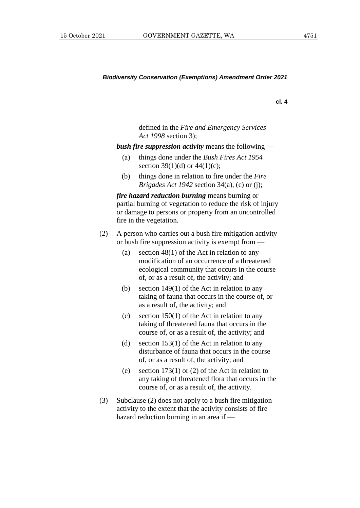#### *Biodiversity Conservation (Exemptions) Amendment Order 2021*

**cl. 4**

defined in the *Fire and Emergency Services Act 1998* section 3);

*bush fire suppression activity* means the following —

- (a) things done under the *Bush Fires Act 1954* section 39(1)(d) or  $44(1)(c)$ ;
- (b) things done in relation to fire under the *Fire Brigades Act 1942* section 34(a), (c) or (j);

*fire hazard reduction burning* means burning or partial burning of vegetation to reduce the risk of injury or damage to persons or property from an uncontrolled fire in the vegetation.

- (2) A person who carries out a bush fire mitigation activity or bush fire suppression activity is exempt from —
	- (a) section  $48(1)$  of the Act in relation to any modification of an occurrence of a threatened ecological community that occurs in the course of, or as a result of, the activity; and
	- (b) section 149(1) of the Act in relation to any taking of fauna that occurs in the course of, or as a result of, the activity; and
	- (c) section 150(1) of the Act in relation to any taking of threatened fauna that occurs in the course of, or as a result of, the activity; and
	- (d) section 153(1) of the Act in relation to any disturbance of fauna that occurs in the course of, or as a result of, the activity; and
	- (e) section 173(1) or (2) of the Act in relation to any taking of threatened flora that occurs in the course of, or as a result of, the activity.
- (3) Subclause (2) does not apply to a bush fire mitigation activity to the extent that the activity consists of fire hazard reduction burning in an area if —